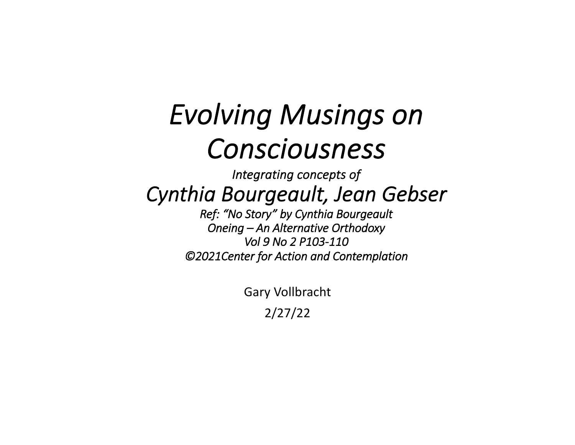# *Evolving Musings on Consciousness*

*Integrating concepts of Cynthia Bourgeault, Jean Gebser*

*Ref: "No Story" by Cynthia Bourgeault Oneing – An Alternative Orthodoxy Vol 9 No 2 P103-110 ©2021Center for Action and Contemplation*

> Gary Vollbracht 2/27/22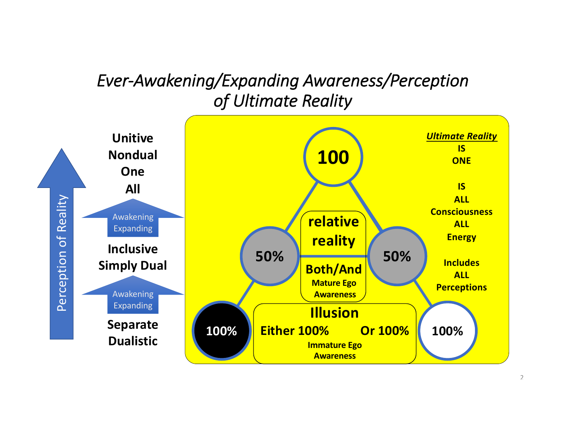### *Ever-Awakening/Expanding Awareness/Perception of Ultimate Reality*

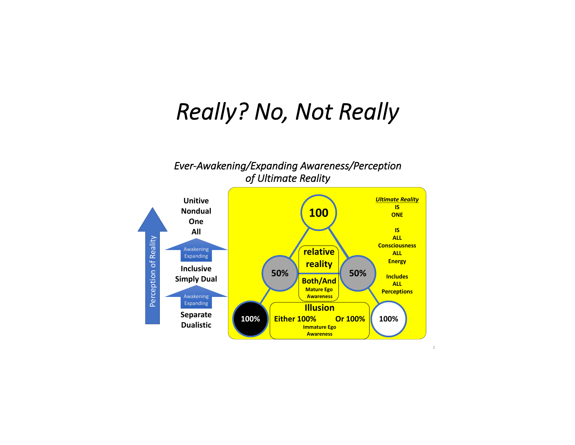## *Really? No, Not Really*



2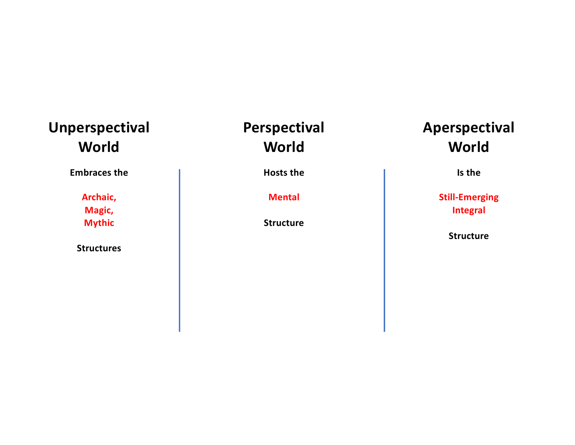#### **Unperspectival World**

**Embraces the**

**Archaic, Magic, Mythic**

**Structures**

#### **Perspectival World**

**Hosts the**

**Mental**

**Structure**

#### **Aperspectival World**

**Is the**

**Still-Emerging Integral**

**Structure**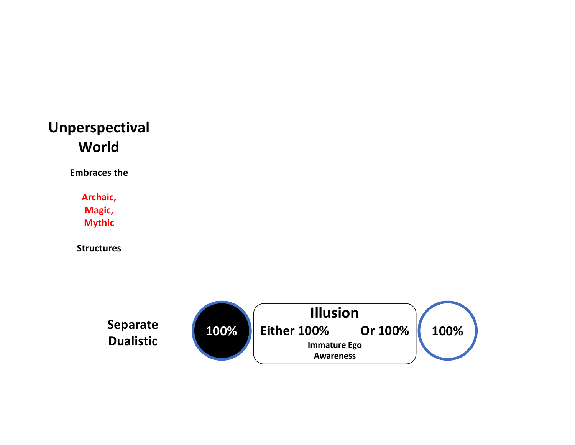#### **Unperspectival World**

**Embraces the**

**Archaic, Magic, Mythic**

**Structures**

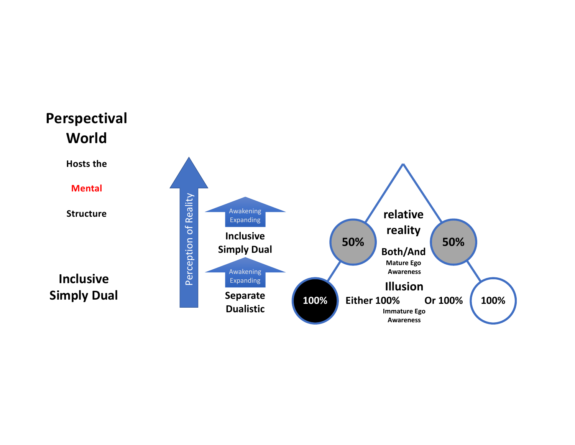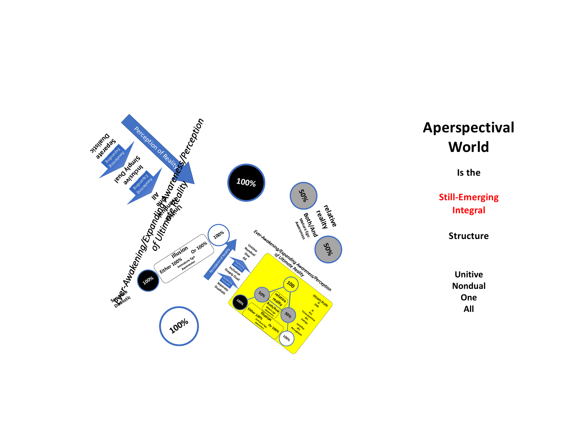

#### **Aperspectival World**

**Is the**

**Still -Emerging Integral**

**Structure**

**Unitive Nondual One All**